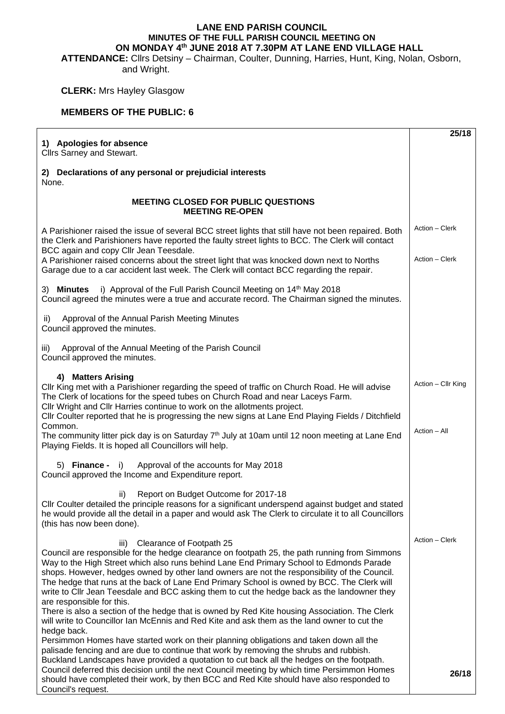## **LANE END PARISH COUNCIL MINUTES OF THE FULL PARISH COUNCIL MEETING ON ON MONDAY 4th JUNE 2018 AT 7.30PM AT LANE END VILLAGE HALL**

**ATTENDANCE:** Cllrs Detsiny – Chairman, Coulter, Dunning, Harries, Hunt, King, Nolan, Osborn, and Wright.

## **CLERK:** Mrs Hayley Glasgow

## **MEMBERS OF THE PUBLIC: 6**

| 1) Apologies for absence<br><b>Cllrs Sarney and Stewart.</b>                                                                                                                                                                                                                                                                                                                                                                                                                                                                                                                                                                                                                                                                                                          | 25/18                              |
|-----------------------------------------------------------------------------------------------------------------------------------------------------------------------------------------------------------------------------------------------------------------------------------------------------------------------------------------------------------------------------------------------------------------------------------------------------------------------------------------------------------------------------------------------------------------------------------------------------------------------------------------------------------------------------------------------------------------------------------------------------------------------|------------------------------------|
| 2) Declarations of any personal or prejudicial interests<br>None.                                                                                                                                                                                                                                                                                                                                                                                                                                                                                                                                                                                                                                                                                                     |                                    |
| <b>MEETING CLOSED FOR PUBLIC QUESTIONS</b><br><b>MEETING RE-OPEN</b>                                                                                                                                                                                                                                                                                                                                                                                                                                                                                                                                                                                                                                                                                                  |                                    |
| A Parishioner raised the issue of several BCC street lights that still have not been repaired. Both<br>the Clerk and Parishioners have reported the faulty street lights to BCC. The Clerk will contact<br>BCC again and copy Cllr Jean Teesdale.<br>A Parishioner raised concerns about the street light that was knocked down next to Norths<br>Garage due to a car accident last week. The Clerk will contact BCC regarding the repair.                                                                                                                                                                                                                                                                                                                            | Action - Clerk<br>Action - Clerk   |
| i) Approval of the Full Parish Council Meeting on 14th May 2018<br>3) Minutes<br>Council agreed the minutes were a true and accurate record. The Chairman signed the minutes.                                                                                                                                                                                                                                                                                                                                                                                                                                                                                                                                                                                         |                                    |
| Approval of the Annual Parish Meeting Minutes<br>ii)<br>Council approved the minutes.                                                                                                                                                                                                                                                                                                                                                                                                                                                                                                                                                                                                                                                                                 |                                    |
| Approval of the Annual Meeting of the Parish Council<br>iii)<br>Council approved the minutes.                                                                                                                                                                                                                                                                                                                                                                                                                                                                                                                                                                                                                                                                         |                                    |
| 4) Matters Arising<br>CIIr King met with a Parishioner regarding the speed of traffic on Church Road. He will advise<br>The Clerk of locations for the speed tubes on Church Road and near Laceys Farm.<br>Cllr Wright and Cllr Harries continue to work on the allotments project.<br>Cllr Coulter reported that he is progressing the new signs at Lane End Playing Fields / Ditchfield<br>Common.<br>The community litter pick day is on Saturday $7th$ July at 10am until 12 noon meeting at Lane End<br>Playing Fields. It is hoped all Councillors will help.                                                                                                                                                                                                   | Action - Cllr King<br>Action - All |
| Approval of the accounts for May 2018<br><b>Finance -</b><br>i)<br>5).<br>Council approved the Income and Expenditure report.                                                                                                                                                                                                                                                                                                                                                                                                                                                                                                                                                                                                                                         |                                    |
| Report on Budget Outcome for 2017-18<br>ii)<br>Cllr Coulter detailed the principle reasons for a significant underspend against budget and stated<br>he would provide all the detail in a paper and would ask The Clerk to circulate it to all Councillors<br>(this has now been done).                                                                                                                                                                                                                                                                                                                                                                                                                                                                               |                                    |
| Clearance of Footpath 25<br>iii)<br>Council are responsible for the hedge clearance on footpath 25, the path running from Simmons<br>Way to the High Street which also runs behind Lane End Primary School to Edmonds Parade<br>shops. However, hedges owned by other land owners are not the responsibility of the Council.<br>The hedge that runs at the back of Lane End Primary School is owned by BCC. The Clerk will<br>write to CIIr Jean Teesdale and BCC asking them to cut the hedge back as the landowner they<br>are responsible for this.<br>There is also a section of the hedge that is owned by Red Kite housing Association. The Clerk<br>will write to Councillor Ian McEnnis and Red Kite and ask them as the land owner to cut the<br>hedge back. | Action - Clerk                     |
| Persimmon Homes have started work on their planning obligations and taken down all the<br>palisade fencing and are due to continue that work by removing the shrubs and rubbish.<br>Buckland Landscapes have provided a quotation to cut back all the hedges on the footpath.<br>Council deferred this decision until the next Council meeting by which time Persimmon Homes<br>should have completed their work, by then BCC and Red Kite should have also responded to<br>Council's request.                                                                                                                                                                                                                                                                        | 26/18                              |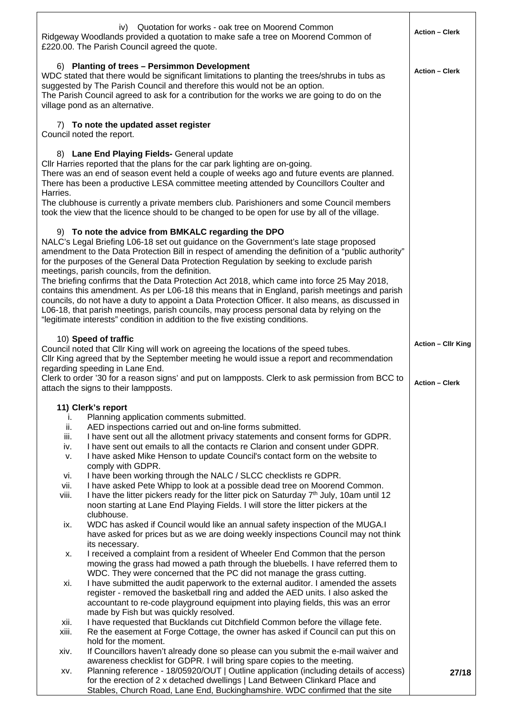| Ridgeway Woodlands provided a quotation to make safe a tree on Moorend Common of<br>£220.00. The Parish Council agreed the quote.                                                                                                                                                                                                                              | <b>Action - Clerk</b>                                                                                                                                                                                                                                                                                                                                                                                                                                                                                                                                                                                                                                                                                                                                                                                                                                                                 |                       |  |
|----------------------------------------------------------------------------------------------------------------------------------------------------------------------------------------------------------------------------------------------------------------------------------------------------------------------------------------------------------------|---------------------------------------------------------------------------------------------------------------------------------------------------------------------------------------------------------------------------------------------------------------------------------------------------------------------------------------------------------------------------------------------------------------------------------------------------------------------------------------------------------------------------------------------------------------------------------------------------------------------------------------------------------------------------------------------------------------------------------------------------------------------------------------------------------------------------------------------------------------------------------------|-----------------------|--|
| 6) Planting of trees - Persimmon Development<br>WDC stated that there would be significant limitations to planting the trees/shrubs in tubs as<br>suggested by The Parish Council and therefore this would not be an option.<br>The Parish Council agreed to ask for a contribution for the works we are going to do on the<br>village pond as an alternative. |                                                                                                                                                                                                                                                                                                                                                                                                                                                                                                                                                                                                                                                                                                                                                                                                                                                                                       |                       |  |
|                                                                                                                                                                                                                                                                                                                                                                | 7) To note the updated asset register<br>Council noted the report.                                                                                                                                                                                                                                                                                                                                                                                                                                                                                                                                                                                                                                                                                                                                                                                                                    |                       |  |
| Harries.                                                                                                                                                                                                                                                                                                                                                       | 8) Lane End Playing Fields- General update<br>Cllr Harries reported that the plans for the car park lighting are on-going.<br>There was an end of season event held a couple of weeks ago and future events are planned.<br>There has been a productive LESA committee meeting attended by Councillors Coulter and<br>The clubhouse is currently a private members club. Parishioners and some Council members                                                                                                                                                                                                                                                                                                                                                                                                                                                                        |                       |  |
|                                                                                                                                                                                                                                                                                                                                                                | took the view that the licence should to be changed to be open for use by all of the village.                                                                                                                                                                                                                                                                                                                                                                                                                                                                                                                                                                                                                                                                                                                                                                                         |                       |  |
|                                                                                                                                                                                                                                                                                                                                                                | 9) To note the advice from BMKALC regarding the DPO<br>NALC's Legal Briefing L06-18 set out guidance on the Government's late stage proposed<br>amendment to the Data Protection Bill in respect of amending the definition of a "public authority"<br>for the purposes of the General Data Protection Regulation by seeking to exclude parish<br>meetings, parish councils, from the definition.<br>The briefing confirms that the Data Protection Act 2018, which came into force 25 May 2018,<br>contains this amendment. As per L06-18 this means that in England, parish meetings and parish<br>councils, do not have a duty to appoint a Data Protection Officer. It also means, as discussed in<br>L06-18, that parish meetings, parish councils, may process personal data by relying on the<br>"legitimate interests" condition in addition to the five existing conditions. |                       |  |
|                                                                                                                                                                                                                                                                                                                                                                |                                                                                                                                                                                                                                                                                                                                                                                                                                                                                                                                                                                                                                                                                                                                                                                                                                                                                       |                       |  |
| 10) Speed of traffic<br>Council noted that Cllr King will work on agreeing the locations of the speed tubes.<br>CIIr King agreed that by the September meeting he would issue a report and recommendation<br>regarding speeding in Lane End.                                                                                                                   |                                                                                                                                                                                                                                                                                                                                                                                                                                                                                                                                                                                                                                                                                                                                                                                                                                                                                       |                       |  |
|                                                                                                                                                                                                                                                                                                                                                                | Clerk to order '30 for a reason signs' and put on lampposts. Clerk to ask permission from BCC to<br>attach the signs to their lampposts.                                                                                                                                                                                                                                                                                                                                                                                                                                                                                                                                                                                                                                                                                                                                              | <b>Action - Clerk</b> |  |
|                                                                                                                                                                                                                                                                                                                                                                | 11) Clerk's report                                                                                                                                                                                                                                                                                                                                                                                                                                                                                                                                                                                                                                                                                                                                                                                                                                                                    |                       |  |
| ı.                                                                                                                                                                                                                                                                                                                                                             | Planning application comments submitted.                                                                                                                                                                                                                                                                                                                                                                                                                                                                                                                                                                                                                                                                                                                                                                                                                                              |                       |  |
| ii.                                                                                                                                                                                                                                                                                                                                                            | AED inspections carried out and on-line forms submitted.                                                                                                                                                                                                                                                                                                                                                                                                                                                                                                                                                                                                                                                                                                                                                                                                                              |                       |  |
| iii.<br>iv.                                                                                                                                                                                                                                                                                                                                                    | I have sent out all the allotment privacy statements and consent forms for GDPR.<br>I have sent out emails to all the contacts re Clarion and consent under GDPR.                                                                                                                                                                                                                                                                                                                                                                                                                                                                                                                                                                                                                                                                                                                     |                       |  |
| v.                                                                                                                                                                                                                                                                                                                                                             | I have asked Mike Henson to update Council's contact form on the website to<br>comply with GDPR.                                                                                                                                                                                                                                                                                                                                                                                                                                                                                                                                                                                                                                                                                                                                                                                      |                       |  |
| vi.                                                                                                                                                                                                                                                                                                                                                            | I have been working through the NALC / SLCC checklists re GDPR.                                                                                                                                                                                                                                                                                                                                                                                                                                                                                                                                                                                                                                                                                                                                                                                                                       |                       |  |
| vii.<br>viii.                                                                                                                                                                                                                                                                                                                                                  | I have asked Pete Whipp to look at a possible dead tree on Moorend Common.<br>I have the litter pickers ready for the litter pick on Saturday 7 <sup>th</sup> July, 10am until 12                                                                                                                                                                                                                                                                                                                                                                                                                                                                                                                                                                                                                                                                                                     |                       |  |
|                                                                                                                                                                                                                                                                                                                                                                | noon starting at Lane End Playing Fields. I will store the litter pickers at the<br>clubhouse.                                                                                                                                                                                                                                                                                                                                                                                                                                                                                                                                                                                                                                                                                                                                                                                        |                       |  |
| ix.                                                                                                                                                                                                                                                                                                                                                            | WDC has asked if Council would like an annual safety inspection of the MUGA.I<br>have asked for prices but as we are doing weekly inspections Council may not think<br>its necessary.                                                                                                                                                                                                                                                                                                                                                                                                                                                                                                                                                                                                                                                                                                 |                       |  |
| х.                                                                                                                                                                                                                                                                                                                                                             | I received a complaint from a resident of Wheeler End Common that the person<br>mowing the grass had mowed a path through the bluebells. I have referred them to<br>WDC. They were concerned that the PC did not manage the grass cutting.                                                                                                                                                                                                                                                                                                                                                                                                                                                                                                                                                                                                                                            |                       |  |
| xi.                                                                                                                                                                                                                                                                                                                                                            | I have submitted the audit paperwork to the external auditor. I amended the assets<br>register - removed the basketball ring and added the AED units. I also asked the<br>accountant to re-code playground equipment into playing fields, this was an error<br>made by Fish but was quickly resolved.                                                                                                                                                                                                                                                                                                                                                                                                                                                                                                                                                                                 |                       |  |
| xii.                                                                                                                                                                                                                                                                                                                                                           | I have requested that Bucklands cut Ditchfield Common before the village fete.                                                                                                                                                                                                                                                                                                                                                                                                                                                                                                                                                                                                                                                                                                                                                                                                        |                       |  |
| xiii.                                                                                                                                                                                                                                                                                                                                                          | Re the easement at Forge Cottage, the owner has asked if Council can put this on<br>hold for the moment.                                                                                                                                                                                                                                                                                                                                                                                                                                                                                                                                                                                                                                                                                                                                                                              |                       |  |
| xiv.                                                                                                                                                                                                                                                                                                                                                           | If Councillors haven't already done so please can you submit the e-mail waiver and                                                                                                                                                                                                                                                                                                                                                                                                                                                                                                                                                                                                                                                                                                                                                                                                    |                       |  |
|                                                                                                                                                                                                                                                                                                                                                                | awareness checklist for GDPR. I will bring spare copies to the meeting.                                                                                                                                                                                                                                                                                                                                                                                                                                                                                                                                                                                                                                                                                                                                                                                                               |                       |  |
| XV.                                                                                                                                                                                                                                                                                                                                                            | Planning reference - 18/05920/OUT   Outline application (including details of access)<br>for the erection of 2 x detached dwellings   Land Between Clinkard Place and                                                                                                                                                                                                                                                                                                                                                                                                                                                                                                                                                                                                                                                                                                                 | 27/18                 |  |

Stables, Church Road, Lane End, Buckinghamshire. WDC confirmed that the site